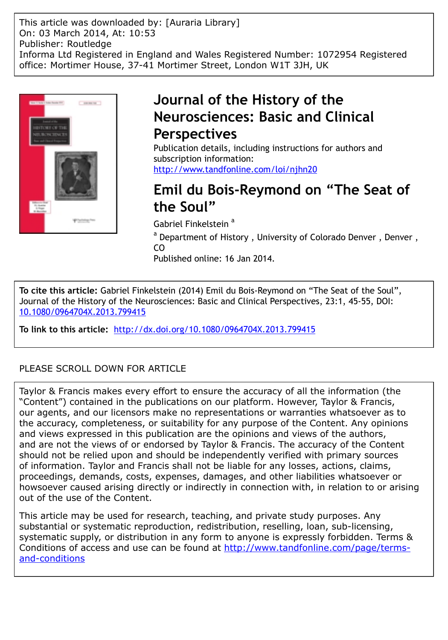This article was downloaded by: [Auraria Library] On: 03 March 2014, At: 10:53 Publisher: Routledge Informa Ltd Registered in England and Wales Registered Number: 1072954 Registered office: Mortimer House, 37-41 Mortimer Street, London W1T 3JH, UK



# **Journal of the History of the Neurosciences: Basic and Clinical Perspectives**

Publication details, including instructions for authors and subscription information: <http://www.tandfonline.com/loi/njhn20>

# **Emil du Bois-Reymond on "The Seat of the Soul"**

Gabriel Finkelstein<sup>a</sup>

<sup>a</sup> Department of History, University of Colorado Denver, Denver, CO

Published online: 16 Jan 2014.

**To cite this article:** Gabriel Finkelstein (2014) Emil du Bois-Reymond on "The Seat of the Soul", Journal of the History of the Neurosciences: Basic and Clinical Perspectives, 23:1, 45-55, DOI: [10.1080/0964704X.2013.799415](http://www.tandfonline.com/action/showCitFormats?doi=10.1080/0964704X.2013.799415)

**To link to this article:** <http://dx.doi.org/10.1080/0964704X.2013.799415>

### PLEASE SCROLL DOWN FOR ARTICLE

Taylor & Francis makes every effort to ensure the accuracy of all the information (the "Content") contained in the publications on our platform. However, Taylor & Francis, our agents, and our licensors make no representations or warranties whatsoever as to the accuracy, completeness, or suitability for any purpose of the Content. Any opinions and views expressed in this publication are the opinions and views of the authors, and are not the views of or endorsed by Taylor & Francis. The accuracy of the Content should not be relied upon and should be independently verified with primary sources of information. Taylor and Francis shall not be liable for any losses, actions, claims, proceedings, demands, costs, expenses, damages, and other liabilities whatsoever or howsoever caused arising directly or indirectly in connection with, in relation to or arising out of the use of the Content.

This article may be used for research, teaching, and private study purposes. Any substantial or systematic reproduction, redistribution, reselling, loan, sub-licensing, systematic supply, or distribution in any form to anyone is expressly forbidden. Terms & Conditions of access and use can be found at [http://www.tandfonline.com/page/terms](http://www.tandfonline.com/page/terms-and-conditions)[and-conditions](http://www.tandfonline.com/page/terms-and-conditions)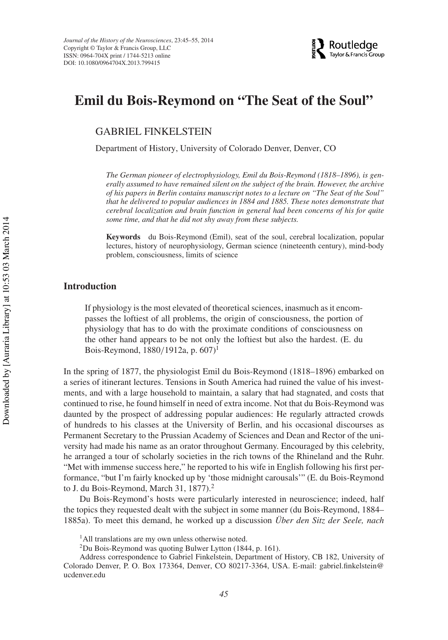

## **Emil du Bois-Reymond on "The Seat of the Soul"**

GABRIEL FINKELSTEIN

Department of History, University of Colorado Denver, Denver, CO

*The German pioneer of electrophysiology, Emil du Bois-Reymond (1818–1896), is generally assumed to have remained silent on the subject of the brain. However, the archive of his papers in Berlin contains manuscript notes to a lecture on "The Seat of the Soul" that he delivered to popular audiences in 1884 and 1885. These notes demonstrate that cerebral localization and brain function in general had been concerns of his for quite some time, and that he did not shy away from these subjects.*

**Keywords** du Bois-Reymond (Emil), seat of the soul, cerebral localization, popular lectures, history of neurophysiology, German science (nineteenth century), mind-body problem, consciousness, limits of science

#### **Introduction**

If physiology is the most elevated of theoretical sciences, inasmuch as it encompasses the loftiest of all problems, the origin of consciousness, the portion of physiology that has to do with the proximate conditions of consciousness on the other hand appears to be not only the loftiest but also the hardest. (E. du Bois-Reymond, 1880/1912a, p. 607)1

In the spring of 1877, the physiologist Emil du Bois-Reymond (1818–1896) embarked on a series of itinerant lectures. Tensions in South America had ruined the value of his investments, and with a large household to maintain, a salary that had stagnated, and costs that continued to rise, he found himself in need of extra income. Not that du Bois-Reymond was daunted by the prospect of addressing popular audiences: He regularly attracted crowds of hundreds to his classes at the University of Berlin, and his occasional discourses as Permanent Secretary to the Prussian Academy of Sciences and Dean and Rector of the university had made his name as an orator throughout Germany. Encouraged by this celebrity, he arranged a tour of scholarly societies in the rich towns of the Rhineland and the Ruhr. "Met with immense success here," he reported to his wife in English following his first performance, "but I'm fairly knocked up by 'those midnight carousals'" (E. du Bois-Reymond to J. du Bois-Reymond, March 31, 1877).<sup>2</sup>

Du Bois-Reymond's hosts were particularly interested in neuroscience; indeed, half the topics they requested dealt with the subject in some manner (du Bois-Reymond, 1884– 1885a). To meet this demand, he worked up a discussion *Über den Sitz der Seele, nach*

<sup>&</sup>lt;sup>1</sup>All translations are my own unless otherwise noted.

 $2$ Du Bois-Reymond was quoting Bulwer Lytton (1844, p. 161).

Address correspondence to Gabriel Finkelstein, Department of History, CB 182, University of Colorado Denver, P. O. Box 173364, Denver, CO 80217-3364, USA. E-mail: gabriel.finkelstein@ ucdenver.edu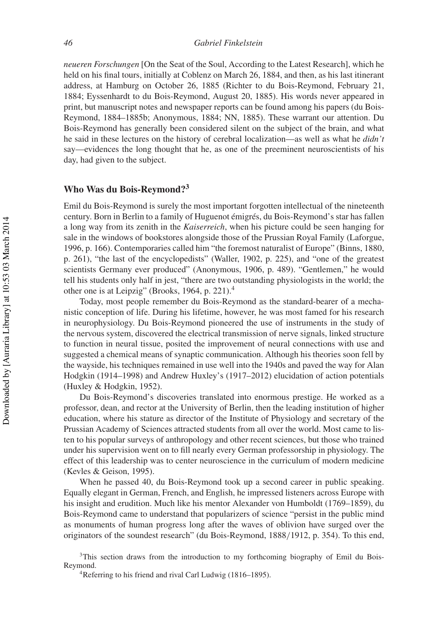*neueren Forschungen* [On the Seat of the Soul, According to the Latest Research], which he held on his final tours, initially at Coblenz on March 26, 1884, and then, as his last itinerant address, at Hamburg on October 26, 1885 (Richter to du Bois-Reymond, February 21, 1884; Eyssenhardt to du Bois-Reymond, August 20, 1885). His words never appeared in print, but manuscript notes and newspaper reports can be found among his papers (du Bois-Reymond, 1884–1885b; Anonymous, 1884; NN, 1885). These warrant our attention. Du Bois-Reymond has generally been considered silent on the subject of the brain, and what he said in these lectures on the history of cerebral localization—as well as what he *didn't* say—evidences the long thought that he, as one of the preeminent neuroscientists of his day, had given to the subject.

### **Who Was du Bois-Reymond?<sup>3</sup>**

Emil du Bois-Reymond is surely the most important forgotten intellectual of the nineteenth century. Born in Berlin to a family of Huguenot émigrés, du Bois-Reymond's star has fallen a long way from its zenith in the *Kaiserreich*, when his picture could be seen hanging for sale in the windows of bookstores alongside those of the Prussian Royal Family (Laforgue, 1996, p. 166). Contemporaries called him "the foremost naturalist of Europe" (Binns, 1880, p. 261), "the last of the encyclopedists" (Waller, 1902, p. 225), and "one of the greatest scientists Germany ever produced" (Anonymous, 1906, p. 489). "Gentlemen," he would tell his students only half in jest, "there are two outstanding physiologists in the world; the other one is at Leipzig" (Brooks, 1964, p. 221).4

Today, most people remember du Bois-Reymond as the standard-bearer of a mechanistic conception of life. During his lifetime, however, he was most famed for his research in neurophysiology. Du Bois-Reymond pioneered the use of instruments in the study of the nervous system, discovered the electrical transmission of nerve signals, linked structure to function in neural tissue, posited the improvement of neural connections with use and suggested a chemical means of synaptic communication. Although his theories soon fell by the wayside, his techniques remained in use well into the 1940s and paved the way for Alan Hodgkin (1914–1998) and Andrew Huxley's (1917–2012) elucidation of action potentials (Huxley & Hodgkin, 1952).

Du Bois-Reymond's discoveries translated into enormous prestige. He worked as a professor, dean, and rector at the University of Berlin, then the leading institution of higher education, where his stature as director of the Institute of Physiology and secretary of the Prussian Academy of Sciences attracted students from all over the world. Most came to listen to his popular surveys of anthropology and other recent sciences, but those who trained under his supervision went on to fill nearly every German professorship in physiology. The effect of this leadership was to center neuroscience in the curriculum of modern medicine (Kevles & Geison, 1995).

When he passed 40, du Bois-Reymond took up a second career in public speaking. Equally elegant in German, French, and English, he impressed listeners across Europe with his insight and erudition. Much like his mentor Alexander von Humboldt (1769–1859), du Bois-Reymond came to understand that popularizers of science "persist in the public mind as monuments of human progress long after the waves of oblivion have surged over the originators of the soundest research" (du Bois-Reymond, 1888/1912, p. 354). To this end,

<sup>3</sup>This section draws from the introduction to my forthcoming biography of Emil du Bois-Reymond.

<sup>4</sup>Referring to his friend and rival Carl Ludwig (1816–1895).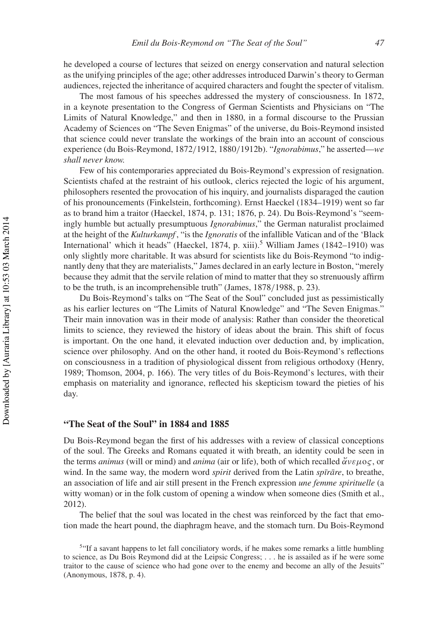he developed a course of lectures that seized on energy conservation and natural selection as the unifying principles of the age; other addresses introduced Darwin's theory to German audiences, rejected the inheritance of acquired characters and fought the specter of vitalism.

The most famous of his speeches addressed the mystery of consciousness. In 1872, in a keynote presentation to the Congress of German Scientists and Physicians on "The Limits of Natural Knowledge," and then in 1880, in a formal discourse to the Prussian Academy of Sciences on "The Seven Enigmas" of the universe, du Bois-Reymond insisted that science could never translate the workings of the brain into an account of conscious experience (du Bois-Reymond, 1872/1912, 1880/1912b). "*Ignorabimus*," he asserted—*we shall never know.*

Few of his contemporaries appreciated du Bois-Reymond's expression of resignation. Scientists chafed at the restraint of his outlook, clerics rejected the logic of his argument, philosophers resented the provocation of his inquiry, and journalists disparaged the caution of his pronouncements (Finkelstein, forthcoming). Ernst Haeckel (1834–1919) went so far as to brand him a traitor (Haeckel, 1874, p. 131; 1876, p. 24). Du Bois-Reymond's "seemingly humble but actually presumptuous *Ignorabimus*," the German naturalist proclaimed at the height of the *Kulturkampf* , "is the *Ignoratis* of the infallible Vatican and of the 'Black International' which it heads" (Haeckel, 1874, p. xiii).<sup>5</sup> William James (1842–1910) was only slightly more charitable. It was absurd for scientists like du Bois-Reymond "to indignantly deny that they are materialists," James declared in an early lecture in Boston, "merely because they admit that the servile relation of mind to matter that they so strenuously affirm to be the truth, is an incomprehensible truth" (James, 1878/1988, p. 23).

Du Bois-Reymond's talks on "The Seat of the Soul" concluded just as pessimistically as his earlier lectures on "The Limits of Natural Knowledge" and "The Seven Enigmas." Their main innovation was in their mode of analysis: Rather than consider the theoretical limits to science, they reviewed the history of ideas about the brain. This shift of focus is important. On the one hand, it elevated induction over deduction and, by implication, science over philosophy. And on the other hand, it rooted du Bois-Reymond's reflections on consciousness in a tradition of physiological dissent from religious orthodoxy (Henry, 1989; Thomson, 2004, p. 166). The very titles of du Bois-Reymond's lectures, with their emphasis on materiality and ignorance, reflected his skepticism toward the pieties of his day.

#### **"The Seat of the Soul" in 1884 and 1885**

Du Bois-Reymond began the first of his addresses with a review of classical conceptions of the soul. The Greeks and Romans equated it with breath, an identity could be seen in the terms *animus* (will or mind) and *anima* (air or life), both of which recalled  $\check{\alpha}v\varepsilon\mu o\varsigma$ , or wind. In the same way, the modern word *spirit* derived from the Latin *spirare*, to breathe, an association of life and air still present in the French expression *une femme spirituelle* (a witty woman) or in the folk custom of opening a window when someone dies (Smith et al., 2012).

The belief that the soul was located in the chest was reinforced by the fact that emotion made the heart pound, the diaphragm heave, and the stomach turn. Du Bois-Reymond

<sup>&</sup>lt;sup>5"</sup>If a savant happens to let fall conciliatory words, if he makes some remarks a little humbling to science, as Du Bois Reymond did at the Leipsic Congress; ... he is assailed as if he were some traitor to the cause of science who had gone over to the enemy and become an ally of the Jesuits" (Anonymous, 1878, p. 4).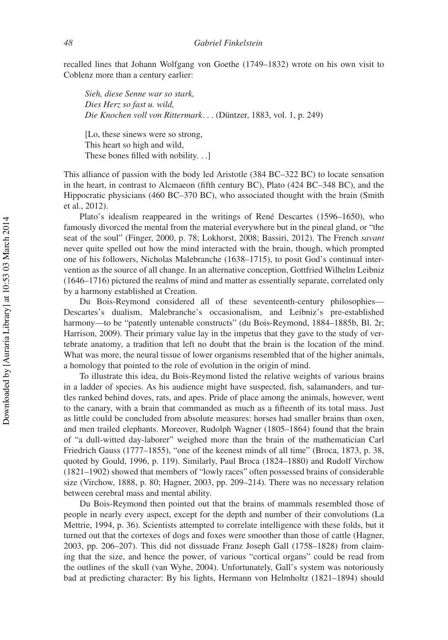recalled lines that Johann Wolfgang von Goethe (1749–1832) wrote on his own visit to Coblenz more than a century earlier:

*Sieh, diese Senne war so stark, Dies Herz so fast u. wild, Die Knochen voll von Rittermark*. . . (Düntzer, 1883, vol. 1, p. 249)

[Lo, these sinews were so strong, This heart so high and wild, These bones filled with nobility. . .]

This alliance of passion with the body led Aristotle (384 BC–322 BC) to locate sensation in the heart, in contrast to Alcmaeon (fifth century BC), Plato (424 BC–348 BC), and the Hippocratic physicians (460 BC–370 BC), who associated thought with the brain (Smith et al., 2012).

Plato's idealism reappeared in the writings of René Descartes (1596–1650), who famously divorced the mental from the material everywhere but in the pineal gland, or "the seat of the soul" (Finger, 2000, p. 78; Lokhorst, 2008; Bassiri, 2012). The French *savant* never quite spelled out how the mind interacted with the brain, though, which prompted one of his followers, Nicholas Malebranche (1638–1715), to posit God's continual intervention as the source of all change. In an alternative conception, Gottfried Wilhelm Leibniz (1646–1716) pictured the realms of mind and matter as essentially separate, correlated only by a harmony established at Creation.

Du Bois-Reymond considered all of these seventeenth-century philosophies— Descartes's dualism, Malebranche's occasionalism, and Leibniz's pre-established harmony—to be "patently untenable constructs" (du Bois-Reymond, 1884–1885b, Bl. 2r; Harrison, 2009). Their primary value lay in the impetus that they gave to the study of vertebrate anatomy, a tradition that left no doubt that the brain is the location of the mind. What was more, the neural tissue of lower organisms resembled that of the higher animals, a homology that pointed to the role of evolution in the origin of mind.

To illustrate this idea, du Bois-Reymond listed the relative weights of various brains in a ladder of species. As his audience might have suspected, fish, salamanders, and turtles ranked behind doves, rats, and apes. Pride of place among the animals, however, went to the canary, with a brain that commanded as much as a fifteenth of its total mass. Just as little could be concluded from absolute measures: horses had smaller brains than oxen, and men trailed elephants. Moreover, Rudolph Wagner (1805–1864) found that the brain of "a dull-witted day-laborer" weighed more than the brain of the mathematician Carl Friedrich Gauss (1777–1855), "one of the keenest minds of all time" (Broca, 1873, p. 38, quoted by Gould, 1996, p. 119). Similarly, Paul Broca (1824–1880) and Rudolf Virchow (1821–1902) showed that members of "lowly races" often possessed brains of considerable size (Virchow, 1888, p. 80; Hagner, 2003, pp. 209–214). There was no necessary relation between cerebral mass and mental ability.

Du Bois-Reymond then pointed out that the brains of mammals resembled those of people in nearly every aspect, except for the depth and number of their convolutions (La Mettrie, 1994, p. 36). Scientists attempted to correlate intelligence with these folds, but it turned out that the cortexes of dogs and foxes were smoother than those of cattle (Hagner, 2003, pp. 206–207). This did not dissuade Franz Joseph Gall (1758–1828) from claiming that the size, and hence the power, of various "cortical organs" could be read from the outlines of the skull (van Wyhe, 2004). Unfortunately, Gall's system was notoriously bad at predicting character: By his lights, Hermann von Helmholtz (1821–1894) should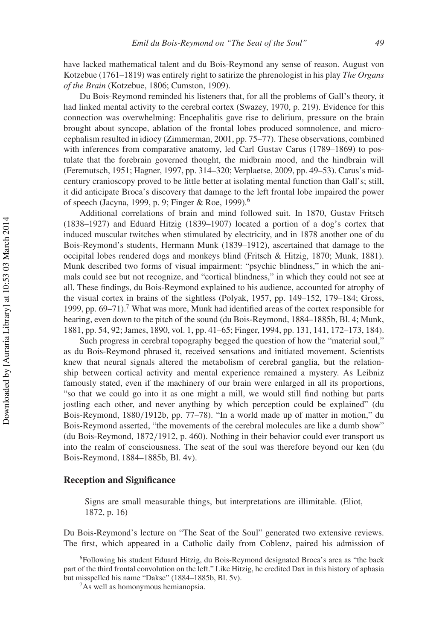have lacked mathematical talent and du Bois-Reymond any sense of reason. August von Kotzebue (1761–1819) was entirely right to satirize the phrenologist in his play *The Organs of the Brain* (Kotzebue, 1806; Cumston, 1909).

Du Bois-Reymond reminded his listeners that, for all the problems of Gall's theory, it had linked mental activity to the cerebral cortex (Swazey, 1970, p. 219). Evidence for this connection was overwhelming: Encephalitis gave rise to delirium, pressure on the brain brought about syncope, ablation of the frontal lobes produced somnolence, and microcephalism resulted in idiocy (Zimmerman, 2001, pp. 75–77). These observations, combined with inferences from comparative anatomy, led Carl Gustav Carus (1789–1869) to postulate that the forebrain governed thought, the midbrain mood, and the hindbrain will (Feremutsch, 1951; Hagner, 1997, pp. 314–320; Verplaetse, 2009, pp. 49–53). Carus's midcentury cranioscopy proved to be little better at isolating mental function than Gall's; still, it did anticipate Broca's discovery that damage to the left frontal lobe impaired the power of speech (Jacyna, 1999, p. 9; Finger & Roe, 1999).6

Additional correlations of brain and mind followed suit. In 1870, Gustav Fritsch (1838–1927) and Eduard Hitzig (1839–1907) located a portion of a dog's cortex that induced muscular twitches when stimulated by electricity, and in 1878 another one of du Bois-Reymond's students, Hermann Munk (1839–1912), ascertained that damage to the occipital lobes rendered dogs and monkeys blind (Fritsch & Hitzig, 1870; Munk, 1881). Munk described two forms of visual impairment: "psychic blindness," in which the animals could see but not recognize, and "cortical blindness," in which they could not see at all. These findings, du Bois-Reymond explained to his audience, accounted for atrophy of the visual cortex in brains of the sightless (Polyak, 1957, pp. 149–152, 179–184; Gross, 1999, pp.  $69-71$ ).<sup>7</sup> What was more, Munk had identified areas of the cortex responsible for hearing, even down to the pitch of the sound (du Bois-Reymond, 1884–1885b, Bl. 4; Munk, 1881, pp. 54, 92; James, 1890, vol. 1, pp. 41–65; Finger, 1994, pp. 131, 141, 172–173, 184).

Such progress in cerebral topography begged the question of how the "material soul," as du Bois-Reymond phrased it, received sensations and initiated movement. Scientists knew that neural signals altered the metabolism of cerebral ganglia, but the relationship between cortical activity and mental experience remained a mystery. As Leibniz famously stated, even if the machinery of our brain were enlarged in all its proportions, "so that we could go into it as one might a mill, we would still find nothing but parts jostling each other, and never anything by which perception could be explained" (du Bois-Reymond, 1880/1912b, pp. 77–78). "In a world made up of matter in motion," du Bois-Reymond asserted, "the movements of the cerebral molecules are like a dumb show" (du Bois-Reymond, 1872/1912, p. 460). Nothing in their behavior could ever transport us into the realm of consciousness. The seat of the soul was therefore beyond our ken (du Bois-Reymond, 1884–1885b, Bl. 4v).

#### **Reception and Significance**

Signs are small measurable things, but interpretations are illimitable. (Eliot, 1872, p. 16)

Du Bois-Reymond's lecture on "The Seat of the Soul" generated two extensive reviews. The first, which appeared in a Catholic daily from Coblenz, paired his admission of

<sup>6</sup>Following his student Eduard Hitzig, du Bois-Reymond designated Broca's area as "the back part of the third frontal convolution on the left." Like Hitzig, he credited Dax in this history of aphasia but misspelled his name "Dakse" (1884–1885b, Bl. 5v).

<sup>7</sup>As well as homonymous hemianopsia.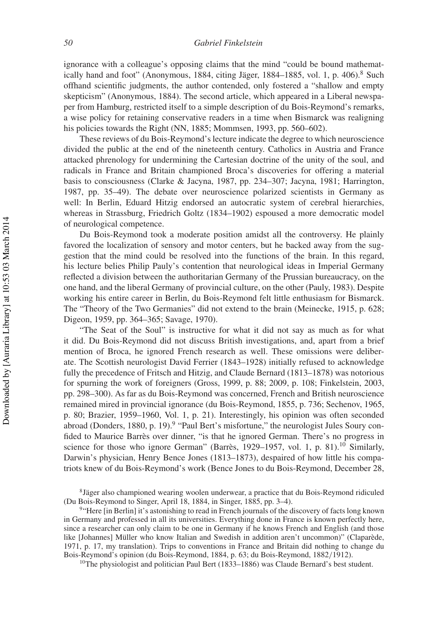ignorance with a colleague's opposing claims that the mind "could be bound mathematically hand and foot" (Anonymous, 1884, citing Jäger, 1884-1885, vol. 1, p. 406).8 Such offhand scientific judgments, the author contended, only fostered a "shallow and empty skepticism" (Anonymous, 1884). The second article, which appeared in a Liberal newspaper from Hamburg, restricted itself to a simple description of du Bois-Reymond's remarks, a wise policy for retaining conservative readers in a time when Bismarck was realigning his policies towards the Right (NN, 1885; Mommsen, 1993, pp. 560–602).

These reviews of du Bois-Reymond's lecture indicate the degree to which neuroscience divided the public at the end of the nineteenth century. Catholics in Austria and France attacked phrenology for undermining the Cartesian doctrine of the unity of the soul, and radicals in France and Britain championed Broca's discoveries for offering a material basis to consciousness (Clarke & Jacyna, 1987, pp. 234–307; Jacyna, 1981; Harrington, 1987, pp. 35–49). The debate over neuroscience polarized scientists in Germany as well: In Berlin, Eduard Hitzig endorsed an autocratic system of cerebral hierarchies, whereas in Strassburg, Friedrich Goltz (1834–1902) espoused a more democratic model of neurological competence.

Du Bois-Reymond took a moderate position amidst all the controversy. He plainly favored the localization of sensory and motor centers, but he backed away from the suggestion that the mind could be resolved into the functions of the brain. In this regard, his lecture belies Philip Pauly's contention that neurological ideas in Imperial Germany reflected a division between the authoritarian Germany of the Prussian bureaucracy, on the one hand, and the liberal Germany of provincial culture, on the other (Pauly, 1983). Despite working his entire career in Berlin, du Bois-Reymond felt little enthusiasm for Bismarck. The "Theory of the Two Germanies" did not extend to the brain (Meinecke, 1915, p. 628; Digeon, 1959, pp. 364–365; Savage, 1970).

"The Seat of the Soul" is instructive for what it did not say as much as for what it did. Du Bois-Reymond did not discuss British investigations, and, apart from a brief mention of Broca, he ignored French research as well. These omissions were deliberate. The Scottish neurologist David Ferrier (1843–1928) initially refused to acknowledge fully the precedence of Fritsch and Hitzig, and Claude Bernard (1813–1878) was notorious for spurning the work of foreigners (Gross, 1999, p. 88; 2009, p. 108; Finkelstein, 2003, pp. 298–300). As far as du Bois-Reymond was concerned, French and British neuroscience remained mired in provincial ignorance (du Bois-Reymond, 1855, p. 736; Sechenov, 1965, p. 80; Brazier, 1959–1960, Vol. 1, p. 21). Interestingly, his opinion was often seconded abroad (Donders, 1880, p. 19).<sup>9</sup> "Paul Bert's misfortune," the neurologist Jules Soury confided to Maurice Barrès over dinner, "is that he ignored German. There's no progress in science for those who ignore German" (Barrès, 1929–1957, vol. 1, p. 81).<sup>10</sup> Similarly, Darwin's physician, Henry Bence Jones (1813–1873), despaired of how little his compatriots knew of du Bois-Reymond's work (Bence Jones to du Bois-Reymond, December 28,

<sup>8</sup>Jäger also championed wearing woolen underwear, a practice that du Bois-Reymond ridiculed (Du Bois-Reymond to Singer, April 18, 1884, in Singer, 1885, pp. 3–4).

<sup>&</sup>lt;sup>9</sup>"Here [in Berlin] it's astonishing to read in French journals of the discovery of facts long known in Germany and professed in all its universities. Everything done in France is known perfectly here, since a researcher can only claim to be one in Germany if he knows French and English (and those like [Johannes] Müller who know Italian and Swedish in addition aren't uncommon)" (Claparède, 1971, p. 17, my translation). Trips to conventions in France and Britain did nothing to change du Bois-Reymond's opinion (du Bois-Reymond, 1884, p. 63; du Bois-Reymond, 1882/1912).

<sup>&</sup>lt;sup>10</sup>The physiologist and politician Paul Bert (1833–1886) was Claude Bernard's best student.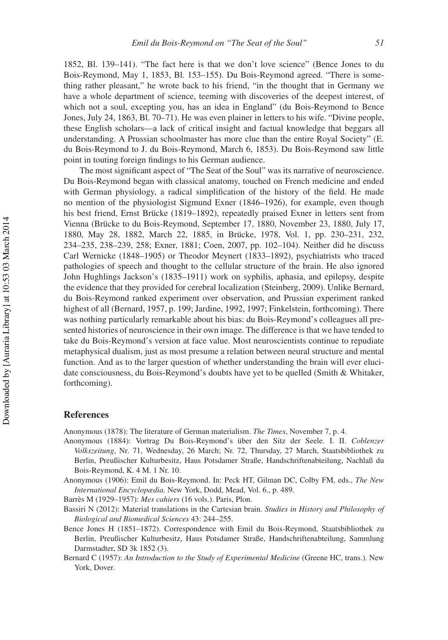1852, Bl. 139–141). "The fact here is that we don't love science" (Bence Jones to du Bois-Reymond, May 1, 1853, Bl. 153–155). Du Bois-Reymond agreed. "There is something rather pleasant," he wrote back to his friend, "in the thought that in Germany we have a whole department of science, teeming with discoveries of the deepest interest, of which not a soul, excepting you, has an idea in England" (du Bois-Reymond to Bence Jones, July 24, 1863, Bl. 70–71). He was even plainer in letters to his wife. "Divine people, these English scholars—a lack of critical insight and factual knowledge that beggars all understanding. A Prussian schoolmaster has more clue than the entire Royal Society" (E. du Bois-Reymond to J. du Bois-Reymond, March 6, 1853). Du Bois-Reymond saw little point in touting foreign findings to his German audience.

The most significant aspect of "The Seat of the Soul" was its narrative of neuroscience. Du Bois-Reymond began with classical anatomy, touched on French medicine and ended with German physiology, a radical simplification of the history of the field. He made no mention of the physiologist Sigmund Exner (1846–1926), for example, even though his best friend, Ernst Brücke (1819–1892), repeatedly praised Exner in letters sent from Vienna (Brücke to du Bois-Reymond, September 17, 1880, November 23, 1880, July 17, 1880, May 28, 1882, March 22, 1885, in Brücke, 1978, Vol. 1, pp. 230–231, 232, 234–235, 238–239, 258; Exner, 1881; Coen, 2007, pp. 102–104). Neither did he discuss Carl Wernicke (1848–1905) or Theodor Meynert (1833–1892), psychiatrists who traced pathologies of speech and thought to the cellular structure of the brain. He also ignored John Hughlings Jackson's (1835–1911) work on syphilis, aphasia, and epilepsy, despite the evidence that they provided for cerebral localization (Steinberg, 2009). Unlike Bernard, du Bois-Reymond ranked experiment over observation, and Prussian experiment ranked highest of all (Bernard, 1957, p. 199; Jardine, 1992, 1997; Finkelstein, forthcoming). There was nothing particularly remarkable about his bias: du Bois-Reymond's colleagues all presented histories of neuroscience in their own image. The difference is that we have tended to take du Bois-Reymond's version at face value. Most neuroscientists continue to repudiate metaphysical dualism, just as most presume a relation between neural structure and mental function. And as to the larger question of whether understanding the brain will ever elucidate consciousness, du Bois-Reymond's doubts have yet to be quelled (Smith & Whitaker, forthcoming).

#### **References**

Anonymous (1878): The literature of German materialism. *The Times*, November 7, p. 4.

Anonymous (1884): Vortrag Du Bois-Reymond's über den Sitz der Seele. I. II. *Coblenzer Volkszeitung*, Nr. 71, Wednesday, 26 March; Nr. 72, Thursday, 27 March, Staatsbibliothek zu Berlin, Preußischer Kulturbesitz, Haus Potsdamer Straße, Handschriftenabteilung, Nachlaß du Bois-Reymond, K. 4 M. 1 Nr. 10.

Anonymous (1906): Emil du Bois-Reymond. In: Peck HT, Gilman DC, Colby FM, eds., *The New International Encyclopædia*. New York, Dodd, Mead, Vol. 6., p. 489.

Barrès M (1929–1957): *Mes cahiers* (16 vols.). Paris, Plon.

Bassiri N (2012): Material translations in the Cartesian brain. *Studies in History and Philosophy of Biological and Biomedical Sciences* 43: 244–255.

Bence Jones H (1851–1872). Correspondence with Emil du Bois-Reymond, Staatsbibliothek zu Berlin, Preußischer Kulturbesitz, Haus Potsdamer Straße, Handschriftenabteilung, Sammlung Darmstadter, SD 3k 1852 (3).

Bernard C (1957): *An Introduction to the Study of Experimental Medicine* (Greene HC, trans.). New York, Dover.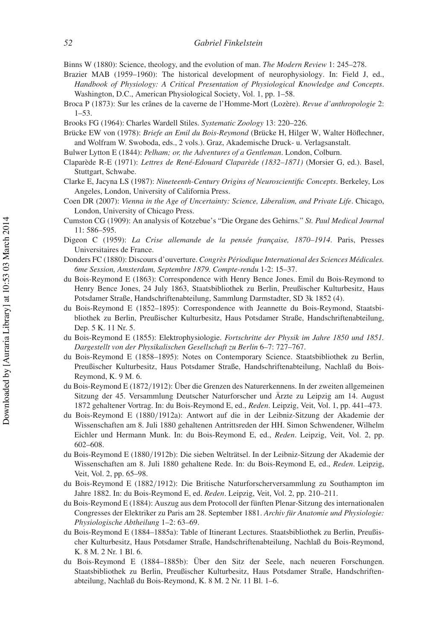Binns W (1880): Science, theology, and the evolution of man. *The Modern Review* 1: 245–278.

- Brazier MAB (1959–1960): The historical development of neurophysiology. In: Field J, ed., *Handbook of Physiology: A Critical Presentation of Physiological Knowledge and Concepts*. Washington, D.C., American Physiological Society, Vol. 1, pp. 1–58.
- Broca P (1873): Sur les crânes de la caverne de l'Homme-Mort (Lozère). *Revue d'anthropologie* 2: 1–53.
- Brooks FG (1964): Charles Wardell Stiles. *Systematic Zoology* 13: 220–226.
- Brücke EW von (1978): *Briefe an Emil du Bois-Reymond* (Brücke H, Hilger W, Walter Höflechner, and Wolfram W. Swoboda, eds., 2 vols.). Graz, Akademische Druck- u. Verlagsanstalt.
- Bulwer Lytton E (1844): *Pelham; or, the Adventures of a Gentleman*. London, Colburn.
- Claparède R-E (1971): *Lettres de René-Edouard Claparède (1832–1871)* (Morsier G, ed.). Basel, Stuttgart, Schwabe.
- Clarke E, Jacyna LS (1987): *Nineteenth-Century Origins of Neuroscientific Concepts*. Berkeley, Los Angeles, London, University of California Press.
- Coen DR (2007): *Vienna in the Age of Uncertainty: Science, Liberalism, and Private Life*. Chicago, London, University of Chicago Press.
- Cumston CG (1909): An analysis of Kotzebue's "Die Organe des Gehirns." *St. Paul Medical Journal* 11: 586–595.
- Digeon C (1959): *La Crise allemande de la pensée française, 1870–1914*. Paris, Presses Universitaires de France.
- Donders FC (1880): Discours d'ouverture. *Congrès Périodique International des Sciences Médicales. 6me Session, Amsterdam, Septembre 1879. Compte-rendu* 1-2: 15–37.
- du Bois-Reymond E (1863): Correspondence with Henry Bence Jones. Emil du Bois-Reymond to Henry Bence Jones, 24 July 1863, Staatsbibliothek zu Berlin, Preußischer Kulturbesitz, Haus Potsdamer Straße, Handschriftenabteilung, Sammlung Darmstadter, SD 3k 1852 (4).
- du Bois-Reymond E (1852–1895): Correspondence with Jeannette du Bois-Reymond, Staatsbibliothek zu Berlin, Preußischer Kulturbesitz, Haus Potsdamer Straße, Handschriftenabteilung, Dep. 5 K. 11 Nr. 5.
- du Bois-Reymond E (1855): Elektrophysiologie. *Fortschritte der Physik im Jahre 1850 und 1851. Dargestellt von der Physikalischen Gesellschaft zu Berlin* 6–7: 727–767.
- du Bois-Reymond E (1858–1895): Notes on Contemporary Science. Staatsbibliothek zu Berlin, Preußischer Kulturbesitz, Haus Potsdamer Straße, Handschriftenabteilung, Nachlaß du Bois-Reymond, K. 9 M. 6.
- du Bois-Reymond E (1872/1912): Über die Grenzen des Naturerkennens. In der zweiten allgemeinen Sitzung der 45. Versammlung Deutscher Naturforscher und Ärzte zu Leipzig am 14. August 1872 gehaltener Vortrag. In: du Bois-Reymond E, ed., *Reden*. Leipzig, Veit, Vol. 1, pp. 441–473.
- du Bois-Reymond E (1880/1912a): Antwort auf die in der Leibniz-Sitzung der Akademie der Wissenschaften am 8. Juli 1880 gehaltenen Antrittsreden der HH. Simon Schwendener, Wilhelm Eichler und Hermann Munk. In: du Bois-Reymond E, ed., *Reden*. Leipzig, Veit, Vol. 2, pp. 602–608.
- du Bois-Reymond E (1880/1912b): Die sieben Welträtsel. In der Leibniz-Sitzung der Akademie der Wissenschaften am 8. Juli 1880 gehaltene Rede. In: du Bois-Reymond E, ed., *Reden*. Leipzig, Veit, Vol. 2, pp. 65–98.
- du Bois-Reymond E (1882/1912): Die Britische Naturforscherversammlung zu Southampton im Jahre 1882. In: du Bois-Reymond E, ed. *Reden*. Leipzig, Veit, Vol. 2, pp. 210–211.
- du Bois-Reymond E (1884): Auszug aus dem Protocoll der fünften Plenar-Sitzung des internationalen Congresses der Elektriker zu Paris am 28. September 1881. *Archiv für Anatomie und Physiologie: Physiologische Abtheilung* 1–2: 63–69.
- du Bois-Reymond E (1884–1885a): Table of Itinerant Lectures. Staatsbibliothek zu Berlin, Preußischer Kulturbesitz, Haus Potsdamer Straße, Handschriftenabteilung, Nachlaß du Bois-Reymond, K. 8 M. 2 Nr. 1 Bl. 6.
- du Bois-Reymond E (1884–1885b): Über den Sitz der Seele, nach neueren Forschungen. Staatsbibliothek zu Berlin, Preußischer Kulturbesitz, Haus Potsdamer Straße, Handschriftenabteilung, Nachlaß du Bois-Reymond, K. 8 M. 2 Nr. 11 Bl. 1–6.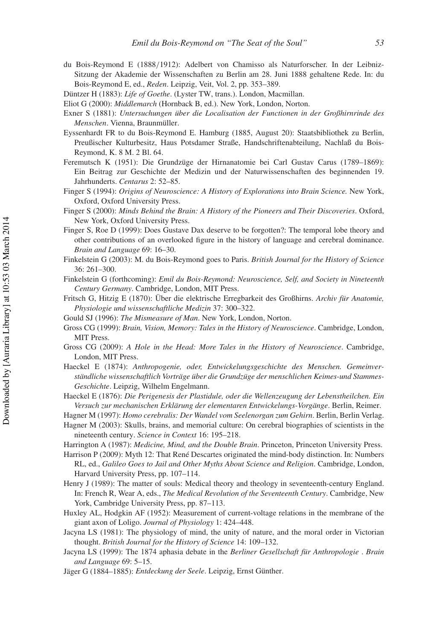- du Bois-Reymond E (1888/1912): Adelbert von Chamisso als Naturforscher. In der Leibniz-Sitzung der Akademie der Wissenschaften zu Berlin am 28. Juni 1888 gehaltene Rede. In: du Bois-Reymond E, ed., *Reden*. Leipzig, Veit, Vol. 2, pp. 353–389.
- Düntzer H (1883): *Life of Goethe*. (Lyster TW, trans.). London, Macmillan.
- Eliot G (2000): *Middlemarch* (Hornback B, ed.). New York, London, Norton.
- Exner S (1881): *Untersuchungen über die Localisation der Functionen in der Großhirnrinde des Menschen*. Vienna, Braunmüller.
- Eyssenhardt FR to du Bois-Reymond E. Hamburg (1885, August 20): Staatsbibliothek zu Berlin, Preußischer Kulturbesitz, Haus Potsdamer Straße, Handschriftenabteilung, Nachlaß du Bois-Reymond, K. 8 M. 2 Bl. 64.
- Feremutsch K (1951): Die Grundzüge der Hirnanatomie bei Carl Gustav Carus (1789–1869): Ein Beitrag zur Geschichte der Medizin und der Naturwissenschaften des beginnenden 19. Jahrhunderts. *Centarus* 2: 52–85.
- Finger S (1994): *Origins of Neuroscience: A History of Explorations into Brain Science.* New York, Oxford, Oxford University Press.
- Finger S (2000): *Minds Behind the Brain: A History of the Pioneers and Their Discoveries*. Oxford, New York, Oxford University Press.
- Finger S, Roe D (1999): Does Gustave Dax deserve to be forgotten?: The temporal lobe theory and other contributions of an overlooked figure in the history of language and cerebral dominance. *Brain and Language* 69: 16–30.
- Finkelstein G (2003): M. du Bois-Reymond goes to Paris. *British Journal for the History of Science* 36: 261–300.
- Finkelstein G (forthcoming): *Emil du Bois-Reymond: Neuroscience, Self, and Society in Nineteenth Century Germany*. Cambridge, London, MIT Press.
- Fritsch G, Hitzig E (1870): Über die elektrische Erregbarkeit des Großhirns. *Archiv für Anatomie, Physiologie und wissenschaftliche Medizin* 37: 300–322.
- Gould SJ (1996): *The Mismeasure of Man*. New York, London, Norton.
- Gross CG (1999): *Brain, Vision, Memory: Tales in the History of Neuroscience*. Cambridge, London, MIT Press.
- Gross CG (2009): *A Hole in the Head: More Tales in the History of Neuroscience*. Cambridge, London, MIT Press.
- Haeckel E (1874): *Anthropogenie, oder, Entwickelungsgeschichte des Menschen. Gemeinverständliche wissenschaftlich Vorträge über die Grundzüge der menschlichen Keimes-und Stammes-Geschichte*. Leipzig, Wilhelm Engelmann.
- Haeckel E (1876): *Die Perigenesis der Plastidule, oder die Wellenzeugung der Lebenstheilchen. Ein Versuch zur mechanischen Erklärung der elementaren Entwickelungs-Vorgänge*. Berlin, Reimer.
- Hagner M (1997): *Homo cerebralis: Der Wandel vom Seelenorgan zum Gehirn*. Berlin, Berlin Verlag.
- Hagner M (2003): Skulls, brains, and memorial culture: On cerebral biographies of scientists in the nineteenth century. *Science in Context* 16: 195–218.
- Harrington A (1987): *Medicine, Mind, and the Double Brain*. Princeton, Princeton University Press.
- Harrison P (2009): Myth 12: That René Descartes originated the mind-body distinction. In: Numbers RL, ed., *Galileo Goes to Jail and Other Myths About Science and Religion*. Cambridge, London, Harvard University Press, pp. 107–114.
- Henry J (1989): The matter of souls: Medical theory and theology in seventeenth-century England. In: French R, Wear A, eds., *The Medical Revolution of the Seventeenth Century*. Cambridge, New York, Cambridge University Press, pp. 87–113.
- Huxley AL, Hodgkin AF (1952): Measurement of current-voltage relations in the membrane of the giant axon of Loligo. *Journal of Physiology* 1: 424–448.
- Jacyna LS (1981): The physiology of mind, the unity of nature, and the moral order in Victorian thought. *British Journal for the History of Science* 14: 109–132.
- Jacyna LS (1999): The 1874 aphasia debate in the *Berliner Gesellschaft für Anthropologie* . *Brain and Language* 69: 5–15.
- Jäger G (1884–1885): *Entdeckung der Seele*. Leipzig, Ernst Günther.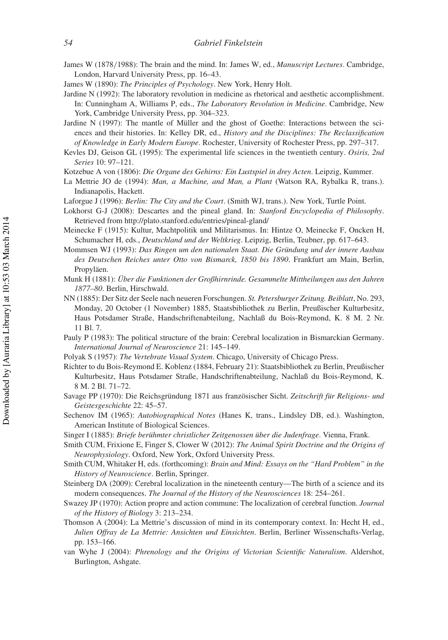- James W (1878/1988): The brain and the mind. In: James W, ed., *Manuscript Lectures*. Cambridge, London, Harvard University Press, pp. 16–43.
- James W (1890): *The Principles of Psychology*. New York, Henry Holt.
- Jardine N (1992): The laboratory revolution in medicine as rhetorical and aesthetic accomplishment. In: Cunningham A, Williams P, eds., *The Laboratory Revolution in Medicine*. Cambridge, New York, Cambridge University Press, pp. 304–323.
- Jardine N (1997): The mantle of Müller and the ghost of Goethe: Interactions between the sciences and their histories. In: Kelley DR, ed., *History and the Disciplines: The Reclassification of Knowledge in Early Modern Europe*. Rochester, University of Rochester Press, pp. 297–317.
- Kevles DJ, Geison GL (1995): The experimental life sciences in the twentieth century. *Osiris, 2nd Series* 10: 97–121.
- Kotzebue A von (1806): *Die Organe des Gehirns: Ein Lustspiel in drey Acten*. Leipzig, Kummer.
- La Mettrie JO de (1994): *Man, a Machine, and Man, a Plant* (Watson RA, Rybalka R, trans.). Indianapolis, Hackett.
- Laforgue J (1996): *Berlin: The City and the Court*. (Smith WJ, trans.). New York, Turtle Point.
- Lokhorst G-J (2008): Descartes and the pineal gland. In: *Stanford Encyclopedia of Philosophy*. Retrieved from http://plato.stanford.edu/entries/pineal-gland/
- Meinecke F (1915): Kultur, Machtpolitik und Militarismus. In: Hintze O, Meinecke F, Oncken H, Schumacher H, eds., *Deutschland und der Weltkrieg*. Leipzig, Berlin, Teubner, pp. 617–643.
- Mommsen WJ (1993): *Das Ringen um den nationalen Staat. Die Gründung und der innere Ausbau des Deutschen Reiches unter Otto von Bismarck, 1850 bis 1890*. Frankfurt am Main, Berlin, Propyläen.
- Munk H (1881): *Über die Funktionen der Großhirnrinde. Gesammelte Mittheilungen aus den Jahren 1877–80*. Berlin, Hirschwald.
- NN (1885): Der Sitz der Seele nach neueren Forschungen. *St. Petersburger Zeitung. Beiblatt*, No. 293, Monday, 20 October (1 November) 1885, Staatsbibliothek zu Berlin, Preußischer Kulturbesitz, Haus Potsdamer Straße, Handschriftenabteilung, Nachlaß du Bois-Reymond, K. 8 M. 2 Nr. 11 Bl. 7.
- Pauly P (1983): The political structure of the brain: Cerebral localization in Bismarckian Germany. *International Journal of Neuroscience* 21: 145–149.
- Polyak S (1957): *The Vertebrate Visual System*. Chicago, University of Chicago Press.
- Richter to du Bois-Reymond E. Koblenz (1884, February 21): Staatsbibliothek zu Berlin, Preußischer Kulturbesitz, Haus Potsdamer Straße, Handschriftenabteilung, Nachlaß du Bois-Reymond, K. 8 M. 2 Bl. 71–72.
- Savage PP (1970): Die Reichsgründung 1871 aus französischer Sicht. *Zeitschrift für Religions- und Geistesgeschichte* 22: 45–57.
- Sechenov IM (1965): *Autobiographical Notes* (Hanes K, trans., Lindsley DB, ed.). Washington, American Institute of Biological Sciences.
- Singer I (1885): *Briefe berühmter christlicher Zeitgenossen über die Judenfrage*. Vienna, Frank.
- Smith CUM, Frixione E, Finger S, Clower W (2012): *The Animal Spirit Doctrine and the Origins of Neurophysiology*. Oxford, New York, Oxford University Press.
- Smith CUM, Whitaker H, eds. (forthcoming): *Brain and Mind: Essays on the "Hard Problem" in the History of Neuroscience*. Berlin, Springer.
- Steinberg DA (2009): Cerebral localization in the nineteenth century—The birth of a science and its modern consequences. *The Journal of the History of the Neurosciences* 18: 254–261.
- Swazey JP (1970): Action propre and action commune: The localization of cerebral function. *Journal of the History of Biology* 3: 213–234.
- Thomson A (2004): La Mettrie's discussion of mind in its contemporary context. In: Hecht H, ed., *Julien Offray de La Mettrie: Ansichten und Einsichten*. Berlin, Berliner Wissenschafts-Verlag, pp. 153–166.
- van Wyhe J (2004): *Phrenology and the Origins of Victorian Scientific Naturalism*. Aldershot, Burlington, Ashgate.